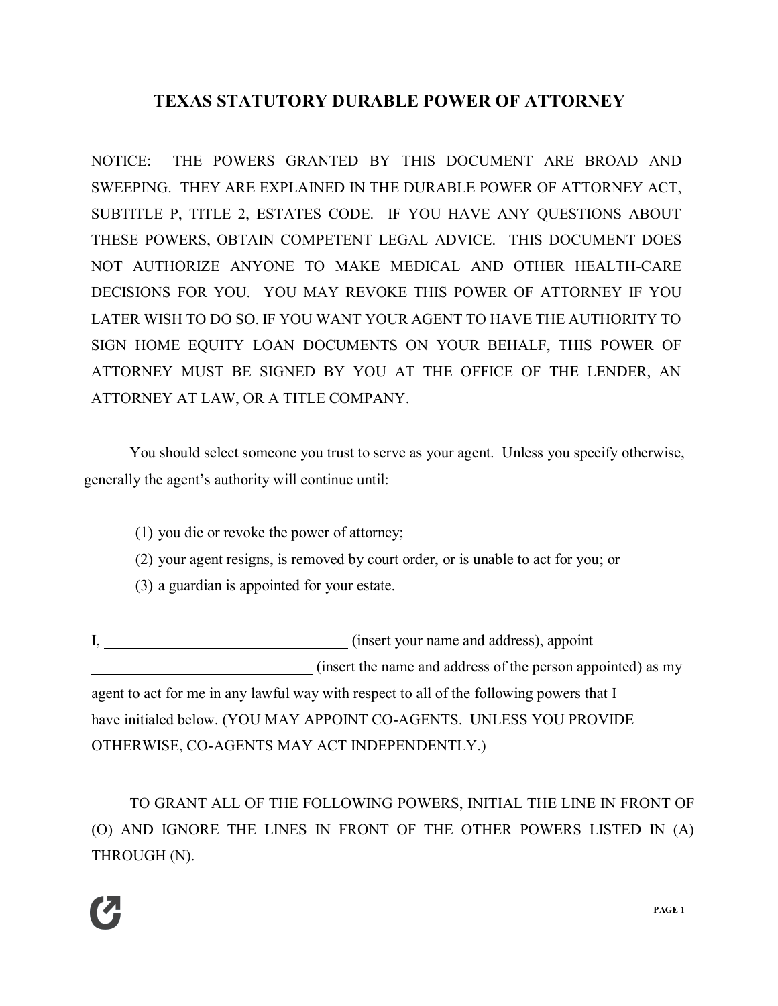# **TEXAS STATUTORY DURABLE POWER OF ATTORNEY**

NOTICE: THE POWERS GRANTED BY THIS DOCUMENT ARE BROAD AND SWEEPING. THEY ARE EXPLAINED IN THE DURABLE POWER OF ATTORNEY ACT, SUBTITLE P, TITLE 2, ESTATES CODE. IF YOU HAVE ANY QUESTIONS ABOUT THESE POWERS, OBTAIN COMPETENT LEGAL ADVICE. THIS DOCUMENT DOES NOT AUTHORIZE ANYONE TO MAKE MEDICAL AND OTHER HEALTH-CARE DECISIONS FOR YOU. YOU MAY REVOKE THIS POWER OF ATTORNEY IF YOU LATER WISH TO DO SO. IF YOU WANT YOUR AGENT TO HAVE THE AUTHORITY TO SIGN HOME EQUITY LOAN DOCUMENTS ON YOUR BEHALF, THIS POWER OF ATTORNEY MUST BE SIGNED BY YOU AT THE OFFICE OF THE LENDER, AN ATTORNEY AT LAW, OR A TITLE COMPANY.

You should select someone you trust to serve as your agent. Unless you specify otherwise, generally the agent's authority will continue until:

- (1) you die or revoke the power of attorney;
- (2) your agent resigns, is removed by court order, or is unable to act for you; or
- (3) a guardian is appointed for your estate.

I, (insert your name and address), appoint (insert the name and address of the person appointed) as my agent to act for me in any lawful way with respect to all of the following powers that I have initialed below. (YOU MAY APPOINT CO-AGENTS. UNLESS YOU PROVIDE OTHERWISE, CO-AGENTS MAY ACT INDEPENDENTLY.)

TO GRANT ALL OF THE FOLLOWING POWERS, INITIAL THE LINE IN FRONT OF (O) AND IGNORE THE LINES IN FRONT OF THE OTHER POWERS LISTED IN (A) THROUGH (N).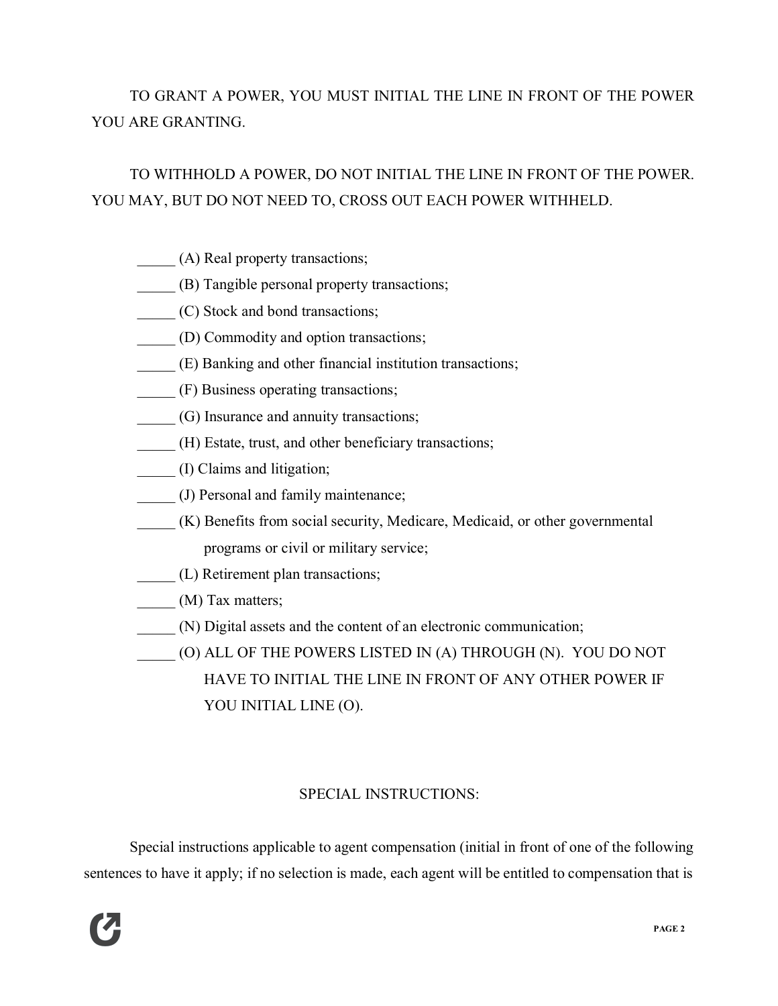# TO GRANT A POWER, YOU MUST INITIAL THE LINE IN FRONT OF THE POWER YOU ARE GRANTING.

# TO WITHHOLD A POWER, DO NOT INITIAL THE LINE IN FRONT OF THE POWER. YOU MAY, BUT DO NOT NEED TO, CROSS OUT EACH POWER WITHHELD.

- \_\_\_\_\_ (A) Real property transactions;
- \_\_\_\_\_ (B) Tangible personal property transactions;
- \_\_\_\_\_ (C) Stock and bond transactions;
- \_\_\_\_\_ (D) Commodity and option transactions;
- \_\_\_\_\_ (E) Banking and other financial institution transactions;
- \_\_\_\_\_ (F) Business operating transactions;
- \_\_\_\_\_ (G) Insurance and annuity transactions;
- \_\_\_\_\_ (H) Estate, trust, and other beneficiary transactions;
- \_\_\_\_\_ (I) Claims and litigation;
- \_\_\_\_\_ (J) Personal and family maintenance;
- \_\_\_\_\_ (K) Benefits from social security, Medicare, Medicaid, or other governmental programs or civil or military service;
- \_\_\_\_\_ (L) Retirement plan transactions;
- (M) Tax matters;
- \_\_\_\_\_ (N) Digital assets and the content of an electronic communication;
- \_\_\_\_\_ (O) ALL OF THE POWERS LISTED IN (A) THROUGH (N). YOU DO NOT HAVE TO INITIAL THE LINE IN FRONT OF ANY OTHER POWER IF YOU INITIAL LINE (O).

## SPECIAL INSTRUCTIONS:

Special instructions applicable to agent compensation (initial in front of one of the following sentences to have it apply; if no selection is made, each agent will be entitled to compensation that is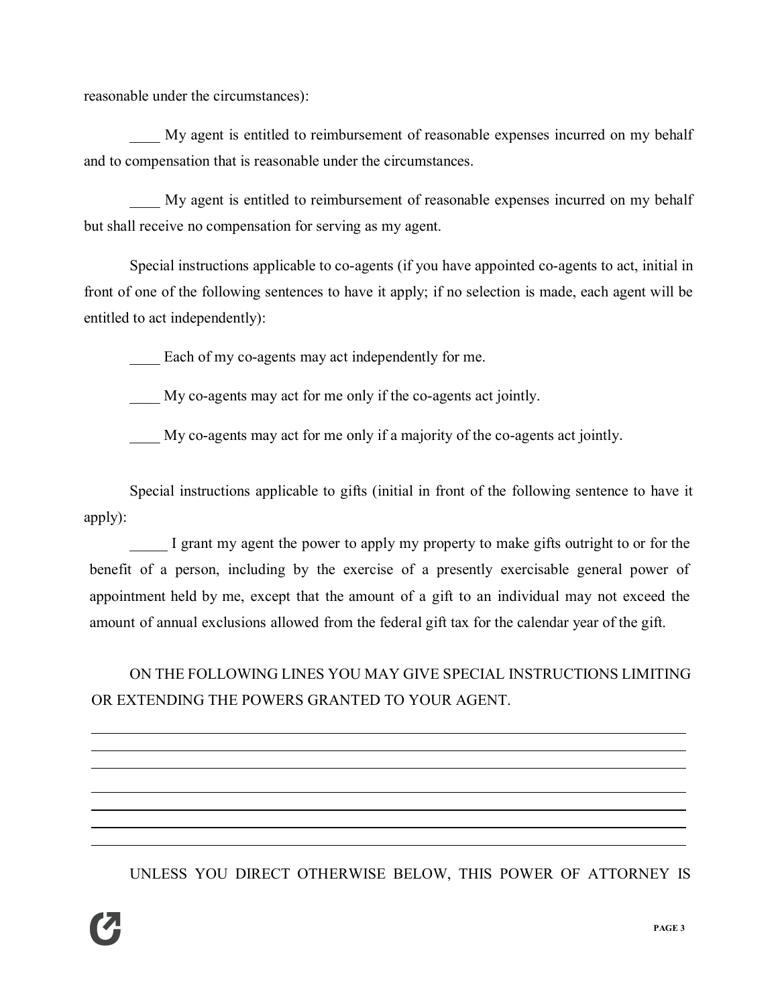reasonable under the circumstances):

My agent is entitled to reimbursement of reasonable expenses incurred on my behalf and to compensation that is reasonable under the circumstances.

\_\_\_\_ My agent is entitled to reimbursement of reasonable expenses incurred on my behalf but shall receive no compensation for serving as my agent.

Special instructions applicable to co-agents (if you have appointed co-agents to act, initial in front of one of the following sentences to have it apply; if no selection is made, each agent will be entitled to act independently):

Each of my co-agents may act independently for me.

\_\_\_\_ My co-agents may act for me only if the co-agents act jointly.

\_\_\_\_ My co-agents may act for me only if a majority of the co-agents act jointly.

Special instructions applicable to gifts (initial in front of the following sentence to have it apply):

I grant my agent the power to apply my property to make gifts outright to or for the benefit of a person, including by the exercise of a presently exercisable general power of appointment held by me, except that the amount of a gift to an individual may not exceed the amount of annual exclusions allowed from the federal gift tax for the calendar year of the gift.

ON THE FOLLOWING LINES YOU MAY GIVE SPECIAL INSTRUCTIONS LIMITING OR EXTENDING THE POWERS GRANTED TO YOUR AGENT.

UNLESS YOU DIRECT OTHERWISE BELOW, THIS POWER OF ATTORNEY IS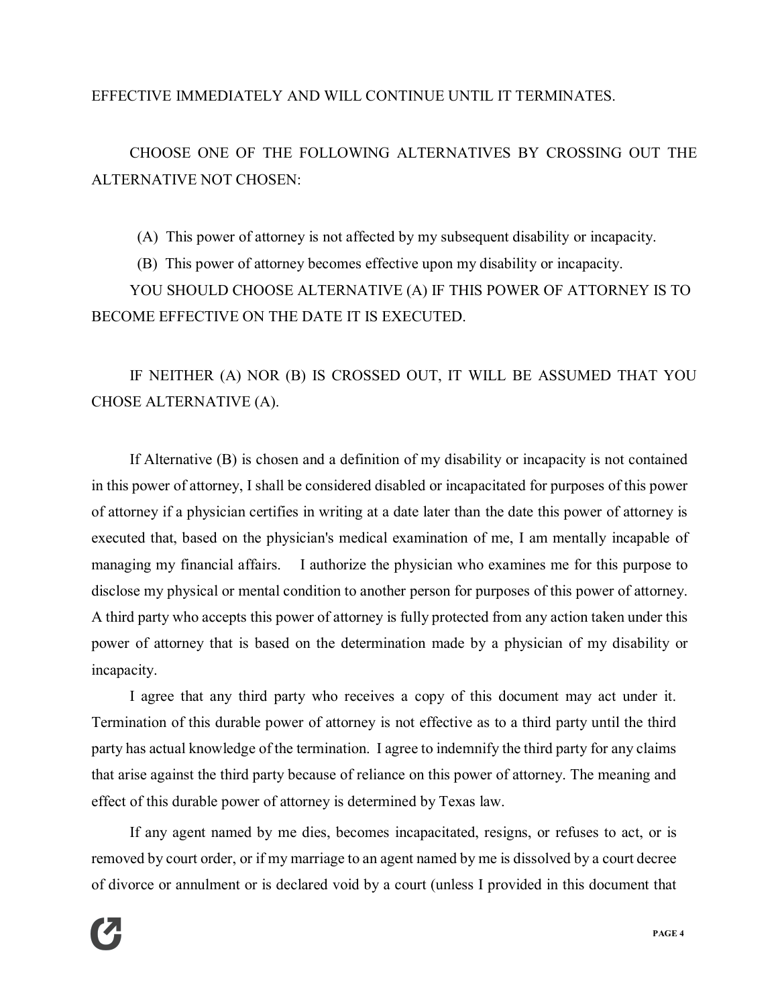## EFFECTIVE IMMEDIATELY AND WILL CONTINUE UNTIL IT TERMINATES.

CHOOSE ONE OF THE FOLLOWING ALTERNATIVES BY CROSSING OUT THE ALTERNATIVE NOT CHOSEN:

(A) This power of attorney is not affected by my subsequent disability or incapacity.

(B) This power of attorney becomes effective upon my disability or incapacity.

YOU SHOULD CHOOSE ALTERNATIVE (A) IF THIS POWER OF ATTORNEY IS TO BECOME EFFECTIVE ON THE DATE IT IS EXECUTED.

IF NEITHER (A) NOR (B) IS CROSSED OUT, IT WILL BE ASSUMED THAT YOU CHOSE ALTERNATIVE (A).

If Alternative (B) is chosen and a definition of my disability or incapacity is not contained in this power of attorney, I shall be considered disabled or incapacitated for purposes of this power of attorney if a physician certifies in writing at a date later than the date this power of attorney is executed that, based on the physician's medical examination of me, I am mentally incapable of managing my financial affairs. I authorize the physician who examines me for this purpose to disclose my physical or mental condition to another person for purposes of this power of attorney. A third party who accepts this power of attorney is fully protected from any action taken under this power of attorney that is based on the determination made by a physician of my disability or incapacity.

I agree that any third party who receives a copy of this document may act under it. Termination of this durable power of attorney is not effective as to a third party until the third party has actual knowledge of the termination. I agree to indemnify the third party for any claims that arise against the third party because of reliance on this power of attorney. The meaning and effect of this durable power of attorney is determined by Texas law.

If any agent named by me dies, becomes incapacitated, resigns, or refuses to act, or is removed by court order, or if my marriage to an agent named by me is dissolved by a court decree of divorce or annulment or is declared void by a court (unless I provided in this document that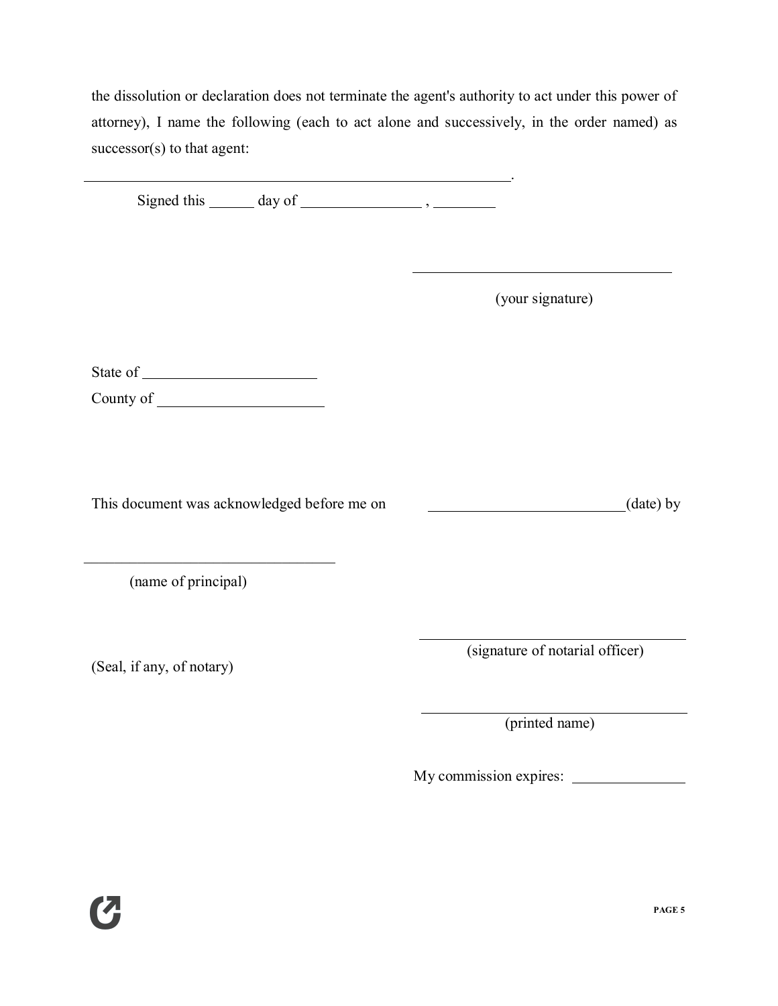the dissolution or declaration does not terminate the agent's authority to act under this power of attorney), I name the following (each to act alone and successively, in the order named) as successor(s) to that agent:

Signed this  $\_\_\_$  day of  $\_\_\_\_\_\_\_\$ ,  $\_\_\_\_\_\_\_$ 

(your signature)

.

State of

County of

This document was acknowledged before me on (date) by

(name of principal)

 $\mathcal{L}_\mathcal{L}$  , where  $\mathcal{L}_\mathcal{L}$  , we have the set of the set of the set of the set of the set of the set of the set of the set of the set of the set of the set of the set of the set of the set of the set of the set

(Seal, if any, of notary)

(signature of notarial officer)

(printed name)

My commission expires: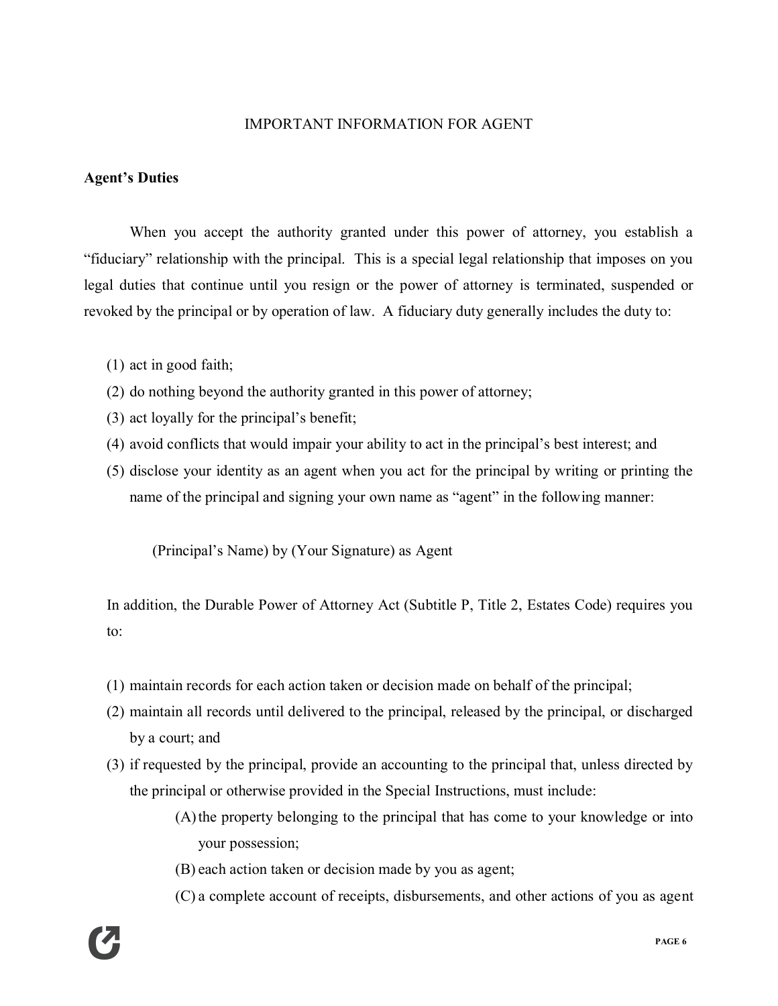### IMPORTANT INFORMATION FOR AGENT

### **Agent's Duties**

When you accept the authority granted under this power of attorney, you establish a "fiduciary" relationship with the principal. This is a special legal relationship that imposes on you legal duties that continue until you resign or the power of attorney is terminated, suspended or revoked by the principal or by operation of law. A fiduciary duty generally includes the duty to:

- (1) act in good faith;
- (2) do nothing beyond the authority granted in this power of attorney;
- (3) act loyally for the principal's benefit;
- (4) avoid conflicts that would impair your ability to act in the principal's best interest; and
- (5) disclose your identity as an agent when you act for the principal by writing or printing the name of the principal and signing your own name as "agent" in the following manner:

(Principal's Name) by (Your Signature) as Agent

In addition, the Durable Power of Attorney Act (Subtitle P, Title 2, Estates Code) requires you to:

- (1) maintain records for each action taken or decision made on behalf of the principal;
- (2) maintain all records until delivered to the principal, released by the principal, or discharged by a court; and
- (3) if requested by the principal, provide an accounting to the principal that, unless directed by the principal or otherwise provided in the Special Instructions, must include:
	- (A)the property belonging to the principal that has come to your knowledge or into your possession;
	- (B) each action taken or decision made by you as agent;
	- (C) a complete account of receipts, disbursements, and other actions of you as agent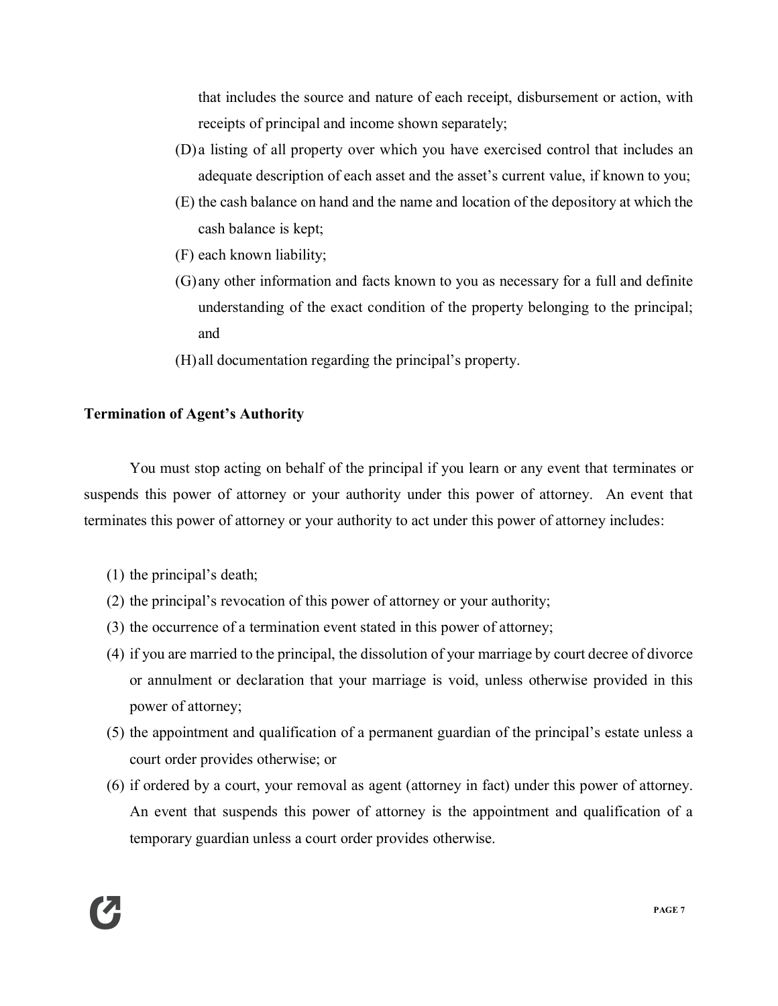that includes the source and nature of each receipt, disbursement or action, with receipts of principal and income shown separately;

- (D)a listing of all property over which you have exercised control that includes an adequate description of each asset and the asset's current value, if known to you;
- (E) the cash balance on hand and the name and location of the depository at which the cash balance is kept;
- (F) each known liability;
- (G)any other information and facts known to you as necessary for a full and definite understanding of the exact condition of the property belonging to the principal; and
- (H)all documentation regarding the principal's property.

## **Termination of Agent's Authority**

You must stop acting on behalf of the principal if you learn or any event that terminates or suspends this power of attorney or your authority under this power of attorney. An event that terminates this power of attorney or your authority to act under this power of attorney includes:

- (1) the principal's death;
- (2) the principal's revocation of this power of attorney or your authority;
- (3) the occurrence of a termination event stated in this power of attorney;
- (4) if you are married to the principal, the dissolution of your marriage by court decree of divorce or annulment or declaration that your marriage is void, unless otherwise provided in this power of attorney;
- (5) the appointment and qualification of a permanent guardian of the principal's estate unless a court order provides otherwise; or
- (6) if ordered by a court, your removal as agent (attorney in fact) under this power of attorney. An event that suspends this power of attorney is the appointment and qualification of a temporary guardian unless a court order provides otherwise.